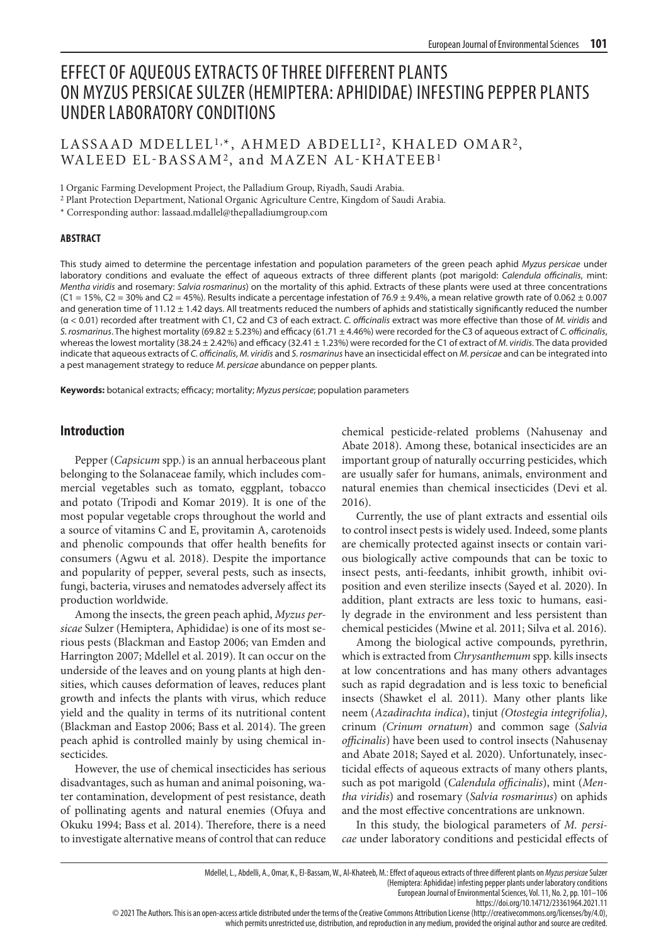# EFFECT OF AQUEOUS EXTRACTS OF THREE DIFFERENT PLANTS ON MYZUS PERSICAE SULZER (HEMIPTERA: APHIDIDAE) INFESTING PEPPER PLANTS UNDER LABORATORY CONDITIONS

## LASSAAD MDELLEL<sup>1,\*</sup>, AHMED ABDELLI<sup>2</sup>, KHALED OMAR<sup>2</sup>, WALEED EL-BASSAM2, and MAZEN AL-KHATEEB1

1 Organic Farming Development Project, the Palladium Group, Riyadh, Saudi Arabia.

2 Plant Protection Department, National Organic Agriculture Centre, Kingdom of Saudi Arabia.

\* Corresponding author: lassaad.mdallel@thepalladiumgroup.com

#### **ABSTRACT**

This study aimed to determine the percentage infestation and population parameters of the green peach aphid *Myzus persicae* under laboratory conditions and evaluate the effect of aqueous extracts of three different plants (pot marigold: *Calendula officinalis*, mint: *Mentha viridis* and rosemary: *Salvia rosmarinus*) on the mortality of this aphid. Extracts of these plants were used at three concentrations  $(C1 = 15\%$ ,  $C2 = 30\%$  and  $C2 = 45\%$ ). Results indicate a percentage infestation of 76.9 ± 9.4%, a mean relative growth rate of 0.062 ± 0.007 and generation time of  $11.12 \pm 1.42$  days. All treatments reduced the numbers of aphids and statistically significantly reduced the number (α < 0.01) recorded after treatment with C1, C2 and C3 of each extract. *C. officinalis* extract was more effective than those of *M. viridis* and *S. rosmarinus*. The highest mortality (69.82 ± 5.23%) and efficacy (61.71 ± 4.46%) were recorded for the C3 of aqueous extract of *C. officinalis*, whereas the lowest mortality (38.24 ± 2.42%) and efficacy (32.41 ± 1.23%) were recorded for the C1 of extract of *M. viridis*. The data provided indicate that aqueous extracts of *C. officinalis*, *M. viridis* and *S. rosmarinus* have an insecticidal effect on *M. persicae* and can be integrated into a pest management strategy to reduce *M. persicae* abundance on pepper plants.

**Keywords:** botanical extracts; efficacy; mortality; *Myzus persicae*; population parameters

#### **Introduction**

Pepper (*Capsicum* spp.) is an annual herbaceous plant belonging to the Solanaceae family, which includes commercial vegetables such as tomato, eggplant, tobacco and potato (Tripodi and Komar 2019). It is one of the most popular vegetable crops throughout the world and a source of vitamins C and E, provitamin A, carotenoids and phenolic compounds that offer health benefits for consumers (Agwu et al. 2018). Despite the importance and popularity of pepper, several pests, such as insects, fungi, bacteria, viruses and nematodes adversely affect its production worldwide.

Among the insects, the green peach aphid, *Myzus persicae* Sulzer (Hemiptera, Aphididae) is one of its most serious pests (Blackman and Eastop 2006; van Emden and Harrington 2007; Mdellel et al. 2019). It can occur on the underside of the leaves and on young plants at high densities, which causes deformation of leaves, reduces plant growth and infects the plants with virus, which reduce yield and the quality in terms of its nutritional content (Blackman and Eastop 2006; Bass et al. 2014). The green peach aphid is controlled mainly by using chemical insecticides.

However, the use of chemical insecticides has serious disadvantages, such as human and animal poisoning, water contamination, development of pest resistance, death of pollinating agents and natural enemies (Ofuya and Okuku 1994; Bass et al. 2014). Therefore, there is a need to investigate alternative means of control that can reduce chemical pesticide-related problems (Nahusenay and Abate 2018). Among these, botanical insecticides are an important group of naturally occurring pesticides, which are usually safer for humans, animals, environment and natural enemies than chemical insecticides (Devi et al. 2016).

Currently, the use of plant extracts and essential oils to control insect pests is widely used. Indeed, some plants are chemically protected against insects or contain various biologically active compounds that can be toxic to insect pests, anti-feedants, inhibit growth, inhibit oviposition and even sterilize insects (Sayed et al. 2020). In addition, plant extracts are less toxic to humans, easily degrade in the environment and less persistent than chemical pesticides (Mwine et al. 2011; Silva et al. 2016).

Among the biological active compounds, pyrethrin, which is extracted from *Chrysanthemum* spp. kills insects at low concentrations and has many others advantages such as rapid degradation and is less toxic to beneficial insects (Shawket el al. 2011). Many other plants like neem (*Azadirachta indica*), tinjut *(Otostegia integrifolia)*, crinum *(Crinum ornatum*) and common sage (*Salvia officinalis*) have been used to control insects (Nahusenay and Abate 2018; Sayed et al. 2020). Unfortunately, insecticidal effects of aqueous extracts of many others plants, such as pot marigold (*Calendula officinalis*), mint (*Mentha viridis*) and rosemary (*Salvia rosmarinus*) on aphids and the most effective concentrations are unknown.

In this study, the biological parameters of *M. persicae* under laboratory conditions and pesticidal effects of

(Hemiptera: Aphididae) infesting pepper plants under laboratory conditions

European Journal of Environmental Sciences, Vol. 11, No. 2, pp. 101–106

© 2021 The Authors. This is an open-access article distributed under the terms of the Creative Commons Attribution License (http://creativecommons.org/licenses/by/4.0), which permits unrestricted use, distribution, and reproduction in any medium, provided the original author and source are credited.

https://doi.org/10.14712/23361964.2021.11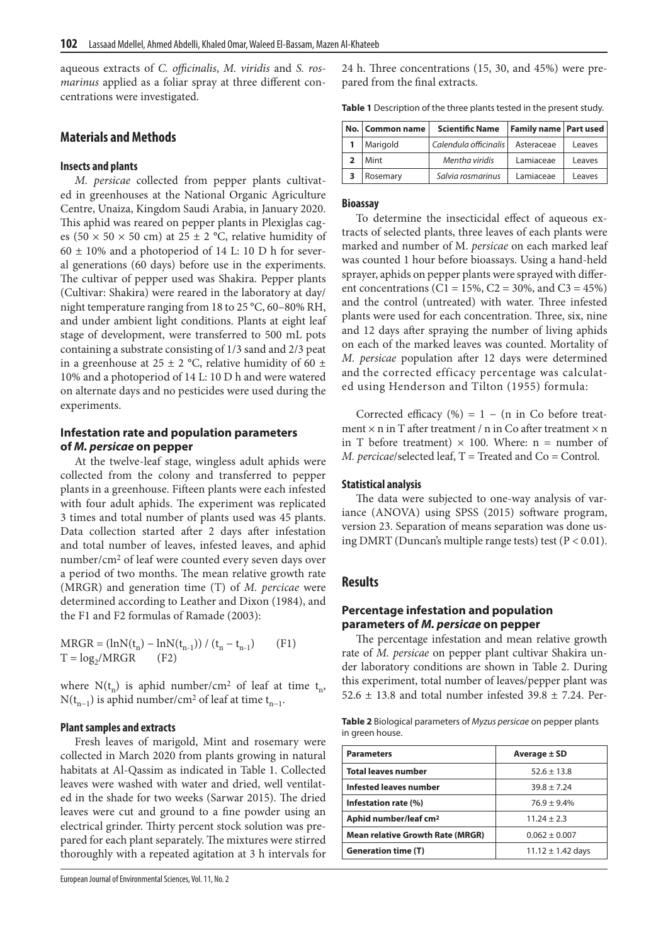aqueous extracts of *C. officinalis*, *M. viridis* and *S. rosmarinus* applied as a foliar spray at three different concentrations were investigated.

## **Materials and Methods**

#### **Insects and plants**

*M. persicae* collected from pepper plants cultivated in greenhouses at the National Organic Agriculture Centre, Unaiza, Kingdom Saudi Arabia, in January 2020. This aphid was reared on pepper plants in Plexiglas cages (50  $\times$  50  $\times$  50 cm) at 25  $\pm$  2 °C, relative humidity of  $60 \pm 10\%$  and a photoperiod of 14 L: 10 D h for several generations (60 days) before use in the experiments. The cultivar of pepper used was Shakira. Pepper plants (Cultivar: Shakira) were reared in the laboratory at day/ night temperature ranging from 18 to 25 °C, 60–80% RH, and under ambient light conditions. Plants at eight leaf stage of development, were transferred to 500 mL pots containing a substrate consisting of 1/3 sand and 2/3 peat in a greenhouse at 25  $\pm$  2 °C, relative humidity of 60  $\pm$ 10% and a photoperiod of 14 L: 10 D h and were watered on alternate days and no pesticides were used during the experiments.

### **Infestation rate and population parameters of** *M. persicae* **on pepper**

At the twelve-leaf stage, wingless adult aphids were collected from the colony and transferred to pepper plants in a greenhouse. Fifteen plants were each infested with four adult aphids. The experiment was replicated 3 times and total number of plants used was 45 plants. Data collection started after 2 days after infestation and total number of leaves, infested leaves, and aphid number/cm2 of leaf were counted every seven days over a period of two months. The mean relative growth rate (MRGR) and generation time (T) of *M. percicae* were determined according to Leather and Dixon (1984), and the F1 and F2 formulas of Ramade (2003):

$$
MRGR = (lnN(t_n) - lnN(t_{n-1})) / (t_n - t_{n-1})
$$
 (F1)  
T = log<sub>2</sub>/MRGR (F2)

where  $N(t_n)$  is aphid number/cm<sup>2</sup> of leaf at time  $t_n$ , N(t<sub>n−1</sub>) is aphid number/cm<sup>2</sup> of leaf at time t<sub>n−1</sub>.

#### **Plant samples and extracts**

Fresh leaves of marigold, Mint and rosemary were collected in March 2020 from plants growing in natural habitats at Al-Qassim as indicated in Table 1. Collected leaves were washed with water and dried, well ventilated in the shade for two weeks (Sarwar 2015). The dried leaves were cut and ground to a fine powder using an electrical grinder. Thirty percent stock solution was prepared for each plant separately. The mixtures were stirred thoroughly with a repeated agitation at 3 h intervals for 24 h. Three concentrations (15, 30, and 45%) were prepared from the final extracts.

**Table 1** Description of the three plants tested in the present study.

| No.   Common name | <b>Scientific Name</b> | <b>Family name Part used</b> |        |
|-------------------|------------------------|------------------------------|--------|
| Marigold          | Calendula officinalis  | Asteraceae                   | Leaves |
| Mint              | Mentha viridis         | Lamiaceae                    | Leaves |
| Rosemary          | Salvia rosmarinus      | Lamiaceae                    | Leaves |

#### **Bioassay**

To determine the insecticidal effect of aqueous extracts of selected plants, three leaves of each plants were marked and number of M. *persicae* on each marked leaf was counted 1 hour before bioassays. Using a hand-held sprayer, aphids on pepper plants were sprayed with different concentrations (C1 = 15%, C2 = 30%, and C3 = 45%) and the control (untreated) with water. Three infested plants were used for each concentration. Three, six, nine and 12 days after spraying the number of living aphids on each of the marked leaves was counted. Mortality of *M. persicae* population after 12 days were determined and the corrected efficacy percentage was calculated using Henderson and Tilton (1955) formula:

Corrected efficacy  $(\%) = 1 - (n \text{ in } Co \text{ before treat-}$ ment  $\times$  n in T after treatment / n in Co after treatment  $\times$  n in T before treatment)  $\times$  100. Where: n = number of *M. percicae*/selected leaf, T = Treated and Co = Control.

#### **Statistical analysis**

The data were subjected to one-way analysis of variance (ANOVA) using SPSS (2015) software program, version 23. Separation of means separation was done using DMRT (Duncan's multiple range tests) test ( $P < 0.01$ ).

#### **Results**

## **Percentage infestation and population parameters of** *M. persicae* **on pepper**

The percentage infestation and mean relative growth rate of *M. persicae* on pepper plant cultivar Shakira under laboratory conditions are shown in Table 2. During this experiment, total number of leaves/pepper plant was 52.6  $\pm$  13.8 and total number infested 39.8  $\pm$  7.24. Per-

**Table 2** Biological parameters of *Myzus persicae* on pepper plants in green house.

| <b>Parameters</b>                       | Average ± SD          |  |
|-----------------------------------------|-----------------------|--|
| <b>Total leaves number</b>              | $52.6 \pm 13.8$       |  |
| Infested leaves number                  | $39.8 \pm 7.24$       |  |
| Infestation rate (%)                    | $76.9 \pm 9.4\%$      |  |
| Aphid number/leaf cm <sup>2</sup>       | $11.24 \pm 2.3$       |  |
| <b>Mean relative Growth Rate (MRGR)</b> | $0.062 \pm 0.007$     |  |
| <b>Generation time (T)</b>              | $11.12 \pm 1.42$ days |  |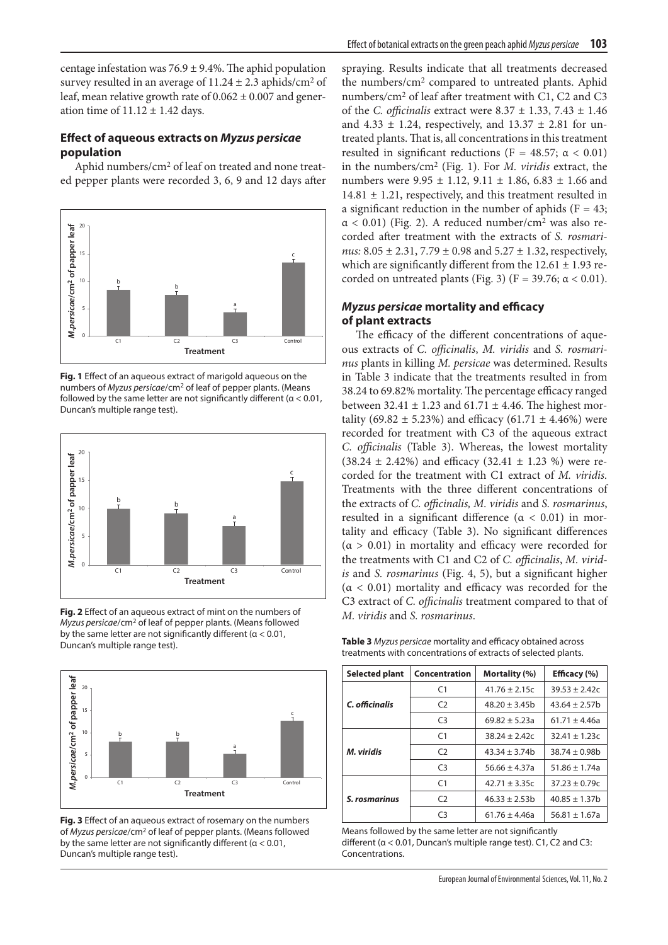centage infestation was  $76.9 \pm 9.4\%$ . The aphid population survey resulted in an average of  $11.24 \pm 2.3$  aphids/cm<sup>2</sup> of leaf, mean relative growth rate of  $0.062 \pm 0.007$  and generation time of  $11.12 \pm 1.42$  days.

## **Effect of aqueous extracts on** *Myzus persicae* **population**

Aphid numbers/cm2 of leaf on treated and none treated pepper plants were recorded 3, 6, 9 and 12 days after



**Fig. 1** Effect of an aqueous extract of marigold aqueous on the numbers of *Myzus persicae*/cm2 of leaf of pepper plants. (Means followed by the same letter are not significantly different ( $\alpha$  < 0.01, Duncan's multiple range test).



**Fig. 2** Effect of an aqueous extract of mint on the numbers of *Myzus persicae*/cm2 of leaf of pepper plants. (Means followed by the same letter are not significantly different ( $\alpha$  < 0.01, Duncan's multiple range test).



**Fig. 3** Effect of an aqueous extract of rosemary on the numbers of *Myzus persicae*/cm2 of leaf of pepper plants. (Means followed by the same letter are not significantly different ( $\alpha$  < 0.01, Duncan's multiple range test).

spraying. Results indicate that all treatments decreased the numbers/cm2 compared to untreated plants. Aphid numbers*/*cm2 of leaf after treatment with C1, C2 and C3 of the *C. officinalis* extract were 8.37 ± 1.33, 7.43 ± 1.46 and  $4.33 \pm 1.24$ , respectively, and  $13.37 \pm 2.81$  for untreated plants. That is, all concentrations in this treatment resulted in significant reductions (F = 48.57;  $\alpha$  < 0.01) in the numbers*/*cm2 (Fig. 1). For *M. viridis* extract, the numbers were  $9.95 \pm 1.12$ ,  $9.11 \pm 1.86$ ,  $6.83 \pm 1.66$  and  $14.81 \pm 1.21$ , respectively, and this treatment resulted in a significant reduction in the number of aphids ( $F = 43$ ;  $\alpha$  < 0.01) (Fig. 2). A reduced number/cm<sup>2</sup> was also recorded after treatment with the extracts of *S. rosmarinus:* 8.05 ± 2.31, 7.79 ± 0.98 and 5.27 ± 1.32, respectively, which are significantly different from the  $12.61 \pm 1.93$  recorded on untreated plants (Fig. 3) (F = 39.76;  $\alpha$  < 0.01).

## *Myzus persicae* **mortality and efficacy of plant extracts**

The efficacy of the different concentrations of aqueous extracts of *C. officinalis*, *M. viridis* and *S. rosmarinus* plants in killing *M. persicae* was determined. Results in Table 3 indicate that the treatments resulted in from 38.24 to 69.82% mortality. The percentage efficacy ranged between  $32.41 \pm 1.23$  and  $61.71 \pm 4.46$ . The highest mortality (69.82  $\pm$  5.23%) and efficacy (61.71  $\pm$  4.46%) were recorded for treatment with C3 of the aqueous extract *C. officinalis* (Table 3). Whereas, the lowest mortality  $(38.24 \pm 2.42\%)$  and efficacy  $(32.41 \pm 1.23\%)$  were recorded for the treatment with C1 extract of *M. viridis.*  Treatments with the three different concentrations of the extracts of *C. officinalis, M. viridis* and *S. rosmarinus*, resulted in a significant difference  $(\alpha < 0.01)$  in mortality and efficacy (Table 3). No significant differences  $(\alpha > 0.01)$  in mortality and efficacy were recorded for the treatments with C1 and C2 of *C. officinalis*, *M. viridis* and *S. rosmarinus* (Fig. 4, 5), but a significant higher  $(\alpha < 0.01)$  mortality and efficacy was recorded for the C3 extract of *C. officinalis* treatment compared to that of *M. viridis* and *S. rosmarinus*.

**Table 3** *Myzus persicae* mortality and efficacy obtained across treatments with concentrations of extracts of selected plants.

| <b>Selected plant</b> | <b>Concentration</b> | Mortality (%)     | Efficacy (%)       |  |  |
|-----------------------|----------------------|-------------------|--------------------|--|--|
|                       | C <sub>1</sub>       | $41.76 \pm 2.15c$ | $39.53 \pm 2.42c$  |  |  |
| C. officinalis        | $\mathcal{C}$        | $48.20 \pm 3.45$  | $43.64 \pm 2.57$ b |  |  |
|                       | C <sub>3</sub>       | $69.82 \pm 5.23a$ | $61.71 \pm 4.46a$  |  |  |
|                       | C <sub>1</sub>       | $38.24 \pm 2.42c$ | $32.41 \pm 1.23c$  |  |  |
| M. viridis            | $\mathcal{C}$        | $43.34 \pm 3.74b$ | $38.74 \pm 0.98$   |  |  |
|                       | $\mathsf{C}$         | $56.66 \pm 4.37a$ | $51.86 \pm 1.74a$  |  |  |
|                       | C <sub>1</sub>       | $42.71 \pm 3.35c$ | $37.23 \pm 0.79c$  |  |  |
| S. rosmarinus         | $\mathcal{C}$        | $46.33 \pm 2.53b$ | $40.85 \pm 1.37$ b |  |  |
|                       | C3                   | $61.76 \pm 4.46a$ | $56.81 \pm 1.67a$  |  |  |

Means followed by the same letter are not significantly different (α < 0.01, Duncan's multiple range test). C1, C2 and C3: Concentrations.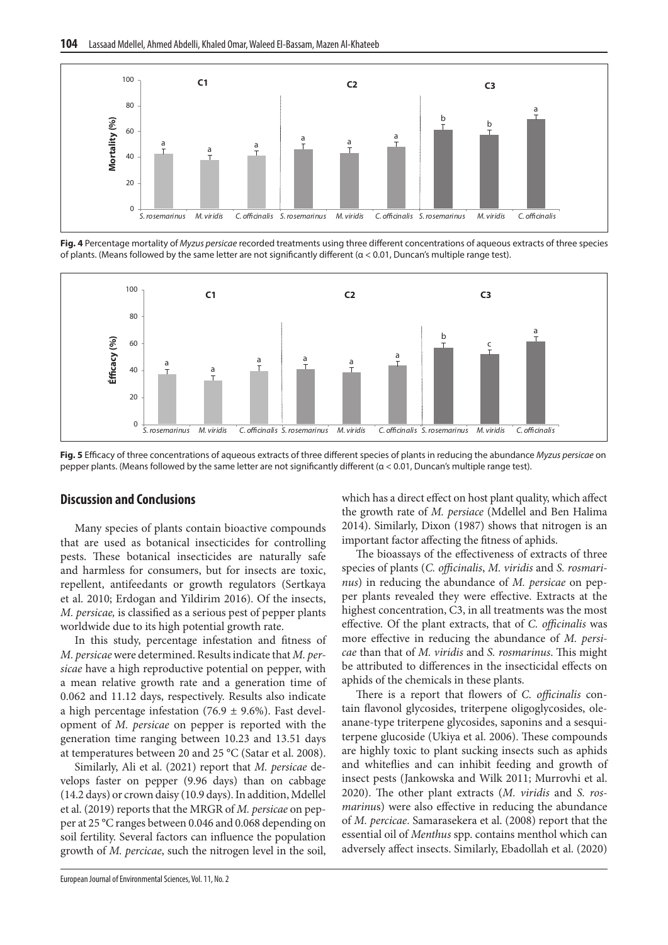

**Fig. 4** Percentage mortality of *Myzus persicae* recorded treatments using three different concentrations of aqueous extracts of three species of plants. (Means followed by the same letter are not significantly different (α < 0.01, Duncan's multiple range test).



**Fig. 5** Efficacy of three concentrations of aqueous extracts of three different species of plants in reducing the abundance *Myzus persicae* on pepper plants. (Means followed by the same letter are not significantly different (α < 0.01, Duncan's multiple range test).

## **Discussion and Conclusions**

Many species of plants contain bioactive compounds that are used as botanical insecticides for controlling pests. These botanical insecticides are naturally safe and harmless for consumers, but for insects are toxic, repellent, antifeedants or growth regulators (Sertkaya et al. 2010; Erdogan and Yildirim 2016). Of the insects, *M. persicae,* is classified as a serious pest of pepper plants worldwide due to its high potential growth rate.

In this study, percentage infestation and fitness of *M. persicae* were determined. Results indicate that *M. persicae* have a high reproductive potential on pepper, with a mean relative growth rate and a generation time of 0.062 and 11.12 days, respectively. Results also indicate a high percentage infestation (76.9  $\pm$  9.6%). Fast development of *M. persicae* on pepper is reported with the generation time ranging between 10.23 and 13.51 days at temperatures between 20 and 25 °C (Satar et al. 2008).

Similarly, Ali et al. (2021) report that *M. persicae* develops faster on pepper (9.96 days) than on cabbage (14.2 days) or crown daisy (10.9 days). In addition, Mdellel et al. (2019) reports that the MRGR of *M. persicae* on pepper at 25 °C ranges between 0.046 and 0.068 depending on soil fertility. Several factors can influence the population growth of *M. percicae*, such the nitrogen level in the soil, which has a direct effect on host plant quality, which affect the growth rate of *M. persiace* (Mdellel and Ben Halima 2014). Similarly, Dixon (1987) shows that nitrogen is an important factor affecting the fitness of aphids.

The bioassays of the effectiveness of extracts of three species of plants (*C. officinalis*, *M. viridis* and *S. rosmarinus*) in reducing the abundance of *M. persicae* on pepper plants revealed they were effective. Extracts at the highest concentration, C3, in all treatments was the most effective*.* Of the plant extracts, that of *C. officinalis* was more effective in reducing the abundance of *M. persicae* than that of *M. viridis* and *S. rosmarinus*. This might be attributed to differences in the insecticidal effects on aphids of the chemicals in these plants.

There is a report that flowers of *C. officinalis* contain flavonol glycosides, triterpene oligoglycosides, oleanane-type triterpene glycosides, saponins and a sesquiterpene glucoside (Ukiya et al. 2006). These compounds are highly toxic to plant sucking insects such as aphids and whiteflies and can inhibit feeding and growth of insect pests (Jankowska and Wilk 2011; Murrovhi et al. 2020). The other plant extracts (*M. viridis* and *S. rosmarinu*s) were also effective in reducing the abundance of *M. percicae*. Samarasekera et al. (2008) report that the essential oil of *Menthus* spp. contains menthol which can adversely affect insects. Similarly, Ebadollah et al. (2020)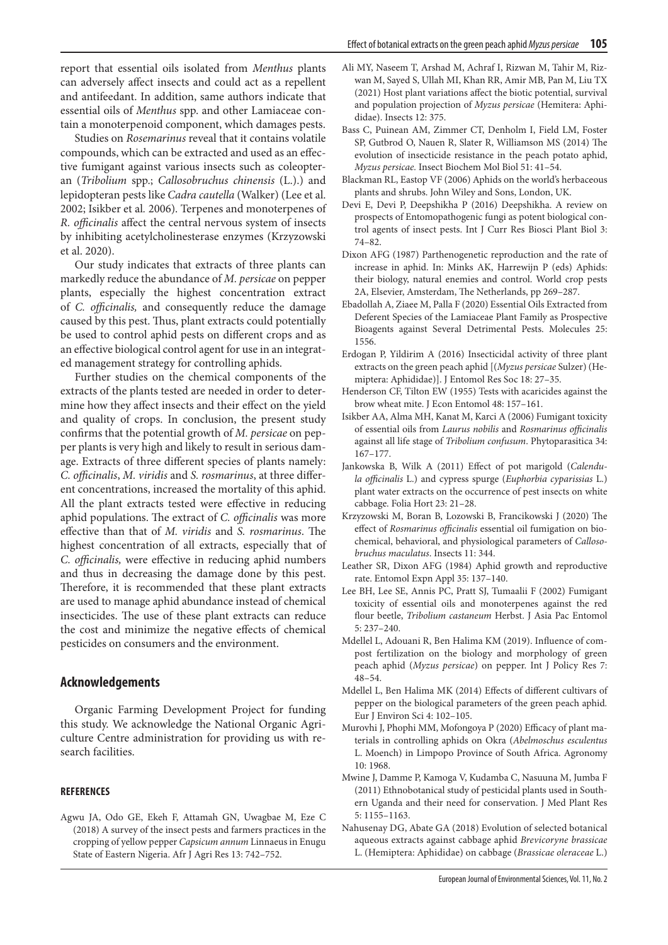report that essential oils isolated from *Menthus* plants can adversely affect insects and could act as a repellent and antifeedant. In addition, same authors indicate that essential oils of *Menthus* spp. and other Lamiaceae contain a monoterpenoid component, which damages pests.

Studies on *Rosemarinus* reveal that it contains volatile compounds, which can be extracted and used as an effective fumigant against various insects such as coleopteran (*Tribolium* spp.; *Callosobruchus chinensis* (L.).) and lepidopteran pests like *Cadra cautella* (Walker) (Lee et al. 2002; Isikber et al*.* 2006). Terpenes and monoterpenes of *R. officinalis* affect the central nervous system of insects by inhibiting acetylcholinesterase enzymes (Krzyzowski et al. 2020).

Our study indicates that extracts of three plants can markedly reduce the abundance of *M. persicae* on pepper plants, especially the highest concentration extract of *C. officinalis,* and consequently reduce the damage caused by this pest. Thus, plant extracts could potentially be used to control aphid pests on different crops and as an effective biological control agent for use in an integrated management strategy for controlling aphids.

Further studies on the chemical components of the extracts of the plants tested are needed in order to determine how they affect insects and their effect on the yield and quality of crops. In conclusion, the present study confirms that the potential growth of *M. persicae* on pepper plants is very high and likely to result in serious damage. Extracts of three different species of plants namely: *C. officinalis*, *M. viridis* and *S. rosmarinus*, at three different concentrations, increased the mortality of this aphid. All the plant extracts tested were effective in reducing aphid populations. The extract of *C. officinalis* was more effective than that of *M. viridis* and *S. rosmarinus*. The highest concentration of all extracts, especially that of *C. officinalis,* were effective in reducing aphid numbers and thus in decreasing the damage done by this pest. Therefore, it is recommended that these plant extracts are used to manage aphid abundance instead of chemical insecticides. The use of these plant extracts can reduce the cost and minimize the negative effects of chemical pesticides on consumers and the environment.

#### **Acknowledgements**

Organic Farming Development Project for funding this study. We acknowledge the National Organic Agriculture Centre administration for providing us with research facilities.

#### **REFERENCES**

Agwu JA, Odo GE, Ekeh F, Attamah GN, Uwagbae M, Eze C (2018) A survey of the insect pests and farmers practices in the cropping of yellow pepper *Capsicum annum* Linnaeus in Enugu State of Eastern Nigeria. Afr J Agri Res 13: 742–752.

- Ali MY, Naseem T, Arshad M, Achraf I, Rizwan M, Tahir M, Rizwan M, Sayed S, Ullah MI, Khan RR, Amir MB, Pan M, Liu TX (2021) Host plant variations affect the biotic potential, survival and population projection of *Myzus persicae* (Hemitera: Aphididae). Insects 12: 375.
- Bass C, Puinean AM, Zimmer CT, Denholm I, Field LM, Foster SP, Gutbrod O, Nauen R, Slater R, Williamson MS (2014) The evolution of insecticide resistance in the peach potato aphid, *Myzus persicae.* Insect Biochem Mol Biol 51: 41–54.
- Blackman RL, Eastop VF (2006) Aphids on the world's herbaceous plants and shrubs. John Wiley and Sons, London, UK.
- Devi E, Devi P, Deepshikha P (2016) Deepshikha. A review on prospects of Entomopathogenic fungi as potent biological control agents of insect pests. Int J Curr Res Biosci Plant Biol 3: 74–82.
- Dixon AFG (1987) Parthenogenetic reproduction and the rate of increase in aphid. In: Minks AK, Harrewijn P (eds) Aphids: their biology, natural enemies and control. World crop pests 2A, Elsevier, Amsterdam, The Netherlands, pp 269–287.
- Ebadollah A, Ziaee M, Palla F (2020) Essential Oils Extracted from Deferent Species of the Lamiaceae Plant Family as Prospective Bioagents against Several Detrimental Pests. Molecules 25: 1556.
- Erdogan P, Yildirim A (2016) Insecticidal activity of three plant extracts on the green peach aphid [(*Myzus persicae* Sulzer) (Hemiptera: Aphididae)]. J Entomol Res Soc 18: 27–35.
- Henderson CF, Tilton EW (1955) Tests with acaricides against the brow wheat mite. J Econ Entomol 48: 157–161.
- Isikber AA, Alma MH, Kanat M, Karci A (2006) Fumigant toxicity of essential oils from *Laurus nobilis* and *Rosmarinus officinalis* against all life stage of *Tribolium confusum*. Phytoparasitica 34: 167–177.
- Jankowska B, Wilk A (2011) Effect of pot marigold (*Calendula officinalis* L.) and cypress spurge (*Euphorbia cyparissias* L.) plant water extracts on the occurrence of pest insects on white cabbage. Folia Hort 23: 21–28.
- Krzyzowski M, Boran B, Lozowski B, Francikowski J (2020) The effect of *Rosmarinus officinalis* essential oil fumigation on biochemical, behavioral, and physiological parameters of *Callosobruchus maculatus*. Insects 11: 344.
- Leather SR, Dixon AFG (1984) Aphid growth and reproductive rate. Entomol Expn Appl 35: 137–140.
- Lee BH, Lee SE, Annis PC, Pratt SJ, Tumaalii F (2002) Fumigant toxicity of essential oils and monoterpenes against the red flour beetle, *Tribolium castaneum* Herbst. J Asia Pac Entomol 5: 237–240.
- Mdellel L, Adouani R, Ben Halima KM (2019). Influence of compost fertilization on the biology and morphology of green peach aphid (*Myzus persicae*) on pepper. Int J Policy Res 7: 48–54.
- Mdellel L, Ben Halima MK (2014) Effects of different cultivars of pepper on the biological parameters of the green peach aphid*.*  Eur J Environ Sci 4: 102–105.
- Murovhi J, Phophi MM, Mofongoya P (2020) Efficacy of plant materials in controlling aphids on Okra (*Abelmoschus esculentus* L. Moench) in Limpopo Province of South Africa. Agronomy 10: 1968.
- Mwine J, Damme P, Kamoga V, Kudamba C, Nasuuna M, Jumba F (2011) Ethnobotanical study of pesticidal plants used in Southern Uganda and their need for conservation. J Med Plant Res 5: 1155–1163.
- Nahusenay DG, Abate GA (2018) Evolution of selected botanical aqueous extracts against cabbage aphid *Brevicoryne brassicae* L. (Hemiptera: Aphididae) on cabbage (*Brassicae oleraceae* L.)